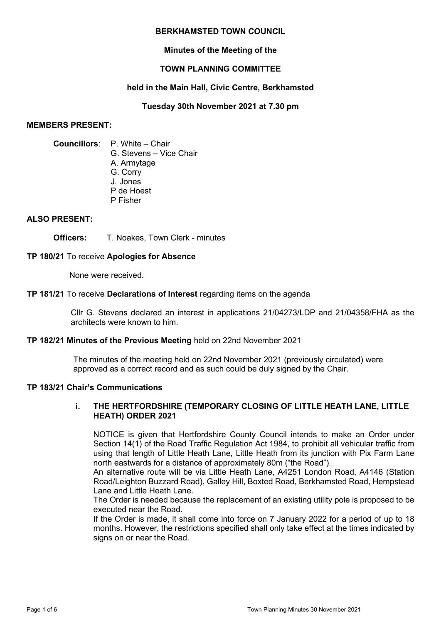#### **BERKHAMSTED TOWN COUNCIL**

## **Minutes of the Meeting of the**

# **TOWN PLANNING COMMITTEE**

## **held in the Main Hall, Civic Centre, Berkhamsted**

**Tuesday 30th November 2021 at 7.30 pm**

#### **MEMBERS PRESENT:**

# **Councillors**: P. White – Chair G. Stevens – Vice Chair

- A. Armytage
- G. Corry
- J. Jones
- P de Hoest
- P Fisher

## **ALSO PRESENT:**

**Officers:** T. Noakes, Town Clerk - minutes

## **TP 180/21** To receive **Apologies for Absence**

None were received.

#### **TP 181/21** To receive **Declarations of Interest** regarding items on the agenda

Cllr G. Stevens declared an interest in applications 21/04273/LDP and 21/04358/FHA as the architects were known to him.

## **TP 182/21 Minutes of the Previous Meeting** held on 22nd November 2021

The minutes of the meeting held on 22nd November 2021 (previously circulated) were approved as a correct record and as such could be duly signed by the Chair.

#### **TP 183/21 Chair's Communications**

## **i. THE HERTFORDSHIRE (TEMPORARY CLOSING OF LITTLE HEATH LANE, LITTLE HEATH) ORDER 2021**

NOTICE is given that Hertfordshire County Council intends to make an Order under Section 14(1) of the Road Traffic Regulation Act 1984, to prohibit all vehicular traffic from using that length of Little Heath Lane, Little Heath from its junction with Pix Farm Lane north eastwards for a distance of approximately 80m ("the Road").

An alternative route will be via Little Heath Lane, A4251 London Road, A4146 (Station Road/Leighton Buzzard Road), Galley Hill, Boxted Road, Berkhamsted Road, Hempstead Lane and Little Heath Lane.

The Order is needed because the replacement of an existing utility pole is proposed to be executed near the Road.

If the Order is made, it shall come into force on 7 January 2022 for a period of up to 18 months. However, the restrictions specified shall only take effect at the times indicated by signs on or near the Road.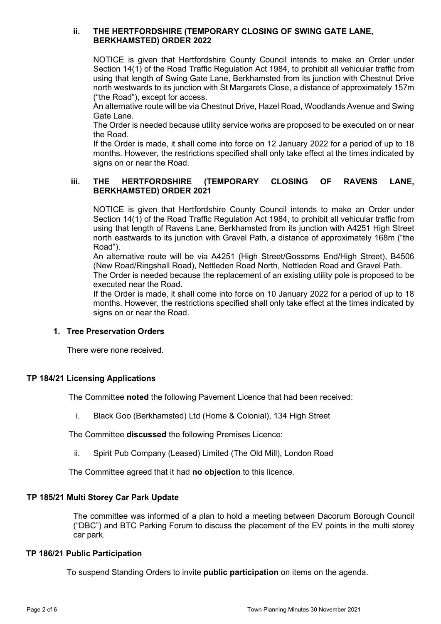#### **ii. THE HERTFORDSHIRE (TEMPORARY CLOSING OF SWING GATE LANE, BERKHAMSTED) ORDER 2022**

NOTICE is given that Hertfordshire County Council intends to make an Order under Section 14(1) of the Road Traffic Regulation Act 1984, to prohibit all vehicular traffic from using that length of Swing Gate Lane, Berkhamsted from its junction with Chestnut Drive north westwards to its junction with St Margarets Close, a distance of approximately 157m ("the Road"), except for access.

An alternative route will be via Chestnut Drive, Hazel Road, Woodlands Avenue and Swing Gate Lane.

The Order is needed because utility service works are proposed to be executed on or near the Road.

If the Order is made, it shall come into force on 12 January 2022 for a period of up to 18 months. However, the restrictions specified shall only take effect at the times indicated by signs on or near the Road.

# **iii. THE HERTFORDSHIRE (TEMPORARY CLOSING OF RAVENS LANE, BERKHAMSTED) ORDER 2021**

NOTICE is given that Hertfordshire County Council intends to make an Order under Section 14(1) of the Road Traffic Regulation Act 1984, to prohibit all vehicular traffic from using that length of Ravens Lane, Berkhamsted from its junction with A4251 High Street north eastwards to its junction with Gravel Path, a distance of approximately 168m ("the Road").

An alternative route will be via A4251 (High Street/Gossoms End/High Street), B4506 (New Road/Ringshall Road), Nettleden Road North, Nettleden Road and Gravel Path.

The Order is needed because the replacement of an existing utility pole is proposed to be executed near the Road.

If the Order is made, it shall come into force on 10 January 2022 for a period of up to 18 months. However, the restrictions specified shall only take effect at the times indicated by signs on or near the Road.

## **1. Tree Preservation Orders**

There were none received.

## **TP 184/21 Licensing Applications**

The Committee **noted** the following Pavement Licence that had been received:

i. Black Goo (Berkhamsted) Ltd (Home & Colonial), 134 High Street

The Committee **discussed** the following Premises Licence:

ii. Spirit Pub Company (Leased) Limited (The Old Mill), London Road

The Committee agreed that it had **no objection** to this licence.

## **TP 185/21 Multi Storey Car Park Update**

The committee was informed of a plan to hold a meeting between Dacorum Borough Council ("DBC") and BTC Parking Forum to discuss the placement of the EV points in the multi storey car park.

#### **TP 186/21 Public Participation**

To suspend Standing Orders to invite **public participation** on items on the agenda.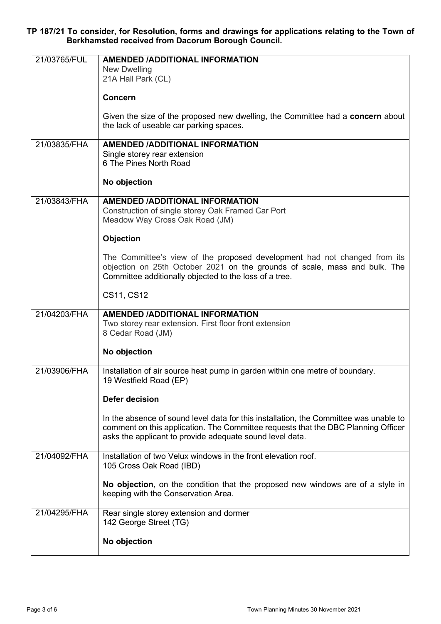**TP 187/21 To consider, for Resolution, forms and drawings for applications relating to the Town of Berkhamsted received from Dacorum Borough Council.** 

| 21/03765/FUL | <b>AMENDED /ADDITIONAL INFORMATION</b>                                                |
|--------------|---------------------------------------------------------------------------------------|
|              | New Dwelling                                                                          |
|              | 21A Hall Park (CL)                                                                    |
|              | <b>Concern</b>                                                                        |
|              | Given the size of the proposed new dwelling, the Committee had a concern about        |
|              | the lack of useable car parking spaces.                                               |
|              |                                                                                       |
| 21/03835/FHA | <b>AMENDED /ADDITIONAL INFORMATION</b>                                                |
|              | Single storey rear extension<br>6 The Pines North Road                                |
|              |                                                                                       |
|              | No objection                                                                          |
| 21/03843/FHA | <b>AMENDED /ADDITIONAL INFORMATION</b>                                                |
|              | Construction of single storey Oak Framed Car Port                                     |
|              | Meadow Way Cross Oak Road (JM)                                                        |
|              | <b>Objection</b>                                                                      |
|              | The Committee's view of the proposed development had not changed from its             |
|              | objection on 25th October 2021 on the grounds of scale, mass and bulk. The            |
|              | Committee additionally objected to the loss of a tree.                                |
|              |                                                                                       |
|              | CS11, CS12                                                                            |
| 21/04203/FHA | <b>AMENDED /ADDITIONAL INFORMATION</b>                                                |
|              | Two storey rear extension. First floor front extension                                |
|              | 8 Cedar Road (JM)                                                                     |
|              |                                                                                       |
|              | No objection                                                                          |
| 21/03906/FHA | Installation of air source heat pump in garden within one metre of boundary.          |
|              | 19 Westfield Road (EP)                                                                |
|              |                                                                                       |
|              | <b>Defer decision</b>                                                                 |
|              | In the absence of sound level data for this installation, the Committee was unable to |
|              | comment on this application. The Committee requests that the DBC Planning Officer     |
|              | asks the applicant to provide adequate sound level data.                              |
|              |                                                                                       |
| 21/04092/FHA | Installation of two Velux windows in the front elevation roof.                        |
|              | 105 Cross Oak Road (IBD)                                                              |
|              | No objection, on the condition that the proposed new windows are of a style in        |
|              | keeping with the Conservation Area.                                                   |
|              |                                                                                       |
| 21/04295/FHA | Rear single storey extension and dormer                                               |
|              | 142 George Street (TG)                                                                |
|              | No objection                                                                          |
|              |                                                                                       |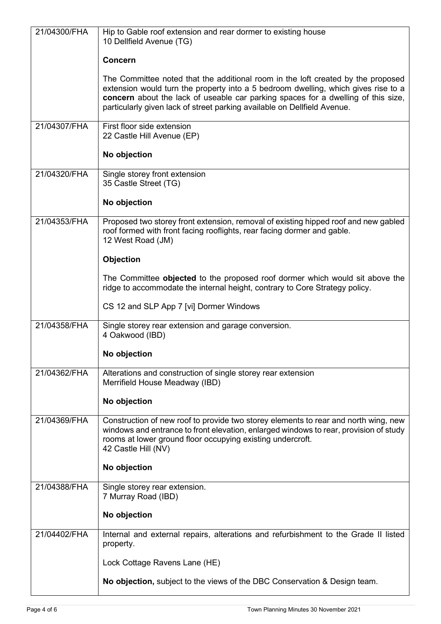| 21/04300/FHA | Hip to Gable roof extension and rear dormer to existing house<br>10 Dellfield Avenue (TG)                                                                                                                                                                                                                                               |
|--------------|-----------------------------------------------------------------------------------------------------------------------------------------------------------------------------------------------------------------------------------------------------------------------------------------------------------------------------------------|
|              | <b>Concern</b>                                                                                                                                                                                                                                                                                                                          |
|              | The Committee noted that the additional room in the loft created by the proposed<br>extension would turn the property into a 5 bedroom dwelling, which gives rise to a<br>concern about the lack of useable car parking spaces for a dwelling of this size,<br>particularly given lack of street parking available on Dellfield Avenue. |
| 21/04307/FHA | First floor side extension<br>22 Castle Hill Avenue (EP)                                                                                                                                                                                                                                                                                |
|              | No objection                                                                                                                                                                                                                                                                                                                            |
| 21/04320/FHA | Single storey front extension<br>35 Castle Street (TG)                                                                                                                                                                                                                                                                                  |
|              | No objection                                                                                                                                                                                                                                                                                                                            |
| 21/04353/FHA | Proposed two storey front extension, removal of existing hipped roof and new gabled<br>roof formed with front facing rooflights, rear facing dormer and gable.<br>12 West Road (JM)                                                                                                                                                     |
|              | Objection                                                                                                                                                                                                                                                                                                                               |
|              | The Committee objected to the proposed roof dormer which would sit above the<br>ridge to accommodate the internal height, contrary to Core Strategy policy.                                                                                                                                                                             |
|              | CS 12 and SLP App 7 [vi] Dormer Windows                                                                                                                                                                                                                                                                                                 |
| 21/04358/FHA | Single storey rear extension and garage conversion.<br>4 Oakwood (IBD)                                                                                                                                                                                                                                                                  |
|              | No objection                                                                                                                                                                                                                                                                                                                            |
| 21/04362/FHA | Alterations and construction of single storey rear extension<br>Merrifield House Meadway (IBD)                                                                                                                                                                                                                                          |
|              | No objection                                                                                                                                                                                                                                                                                                                            |
| 21/04369/FHA | Construction of new roof to provide two storey elements to rear and north wing, new<br>windows and entrance to front elevation, enlarged windows to rear, provision of study<br>rooms at lower ground floor occupying existing undercroft.<br>42 Castle Hill (NV)                                                                       |
|              | No objection                                                                                                                                                                                                                                                                                                                            |
| 21/04388/FHA | Single storey rear extension.<br>7 Murray Road (IBD)                                                                                                                                                                                                                                                                                    |
|              | No objection                                                                                                                                                                                                                                                                                                                            |
| 21/04402/FHA | Internal and external repairs, alterations and refurbishment to the Grade II listed<br>property.                                                                                                                                                                                                                                        |
|              | Lock Cottage Ravens Lane (HE)                                                                                                                                                                                                                                                                                                           |
|              | No objection, subject to the views of the DBC Conservation & Design team.                                                                                                                                                                                                                                                               |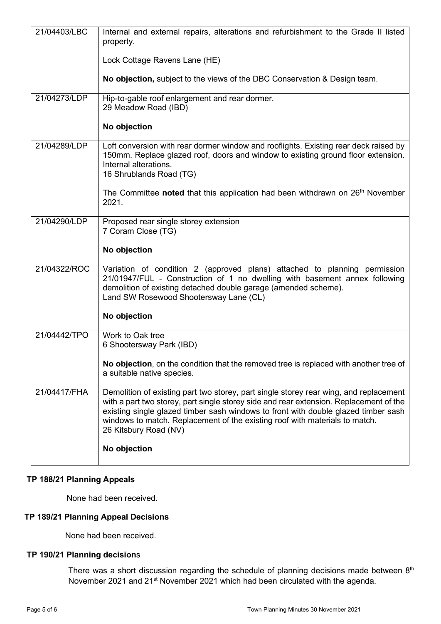| 21/04403/LBC | Internal and external repairs, alterations and refurbishment to the Grade II listed<br>property.                                                                                                                                                                                                                                                                              |
|--------------|-------------------------------------------------------------------------------------------------------------------------------------------------------------------------------------------------------------------------------------------------------------------------------------------------------------------------------------------------------------------------------|
|              | Lock Cottage Ravens Lane (HE)                                                                                                                                                                                                                                                                                                                                                 |
|              | No objection, subject to the views of the DBC Conservation & Design team.                                                                                                                                                                                                                                                                                                     |
| 21/04273/LDP | Hip-to-gable roof enlargement and rear dormer.<br>29 Meadow Road (IBD)                                                                                                                                                                                                                                                                                                        |
|              | No objection                                                                                                                                                                                                                                                                                                                                                                  |
| 21/04289/LDP | Loft conversion with rear dormer window and rooflights. Existing rear deck raised by<br>150mm. Replace glazed roof, doors and window to existing ground floor extension.<br>Internal alterations.<br>16 Shrublands Road (TG)                                                                                                                                                  |
|              | The Committee noted that this application had been withdrawn on 26 <sup>th</sup> November<br>2021.                                                                                                                                                                                                                                                                            |
| 21/04290/LDP | Proposed rear single storey extension<br>7 Coram Close (TG)                                                                                                                                                                                                                                                                                                                   |
|              | No objection                                                                                                                                                                                                                                                                                                                                                                  |
| 21/04322/ROC | Variation of condition 2 (approved plans) attached to planning permission<br>21/01947/FUL - Construction of 1 no dwelling with basement annex following<br>demolition of existing detached double garage (amended scheme).<br>Land SW Rosewood Shootersway Lane (CL)                                                                                                          |
|              | No objection                                                                                                                                                                                                                                                                                                                                                                  |
| 21/04442/TPO | Work to Oak tree<br>6 Shootersway Park (IBD)                                                                                                                                                                                                                                                                                                                                  |
|              | No objection, on the condition that the removed tree is replaced with another tree of<br>a suitable native species.                                                                                                                                                                                                                                                           |
| 21/04417/FHA | Demolition of existing part two storey, part single storey rear wing, and replacement<br>with a part two storey, part single storey side and rear extension. Replacement of the<br>existing single glazed timber sash windows to front with double glazed timber sash<br>windows to match. Replacement of the existing roof with materials to match.<br>26 Kitsbury Road (NV) |
|              | No objection                                                                                                                                                                                                                                                                                                                                                                  |

## **TP 188/21 Planning Appeals**

None had been received.

# **TP 189/21 Planning Appeal Decisions**

None had been received.

# **TP 190/21 Planning decision**s

There was a short discussion regarding the schedule of planning decisions made between 8<sup>th</sup> November 2021 and 21st November 2021 which had been circulated with the agenda.